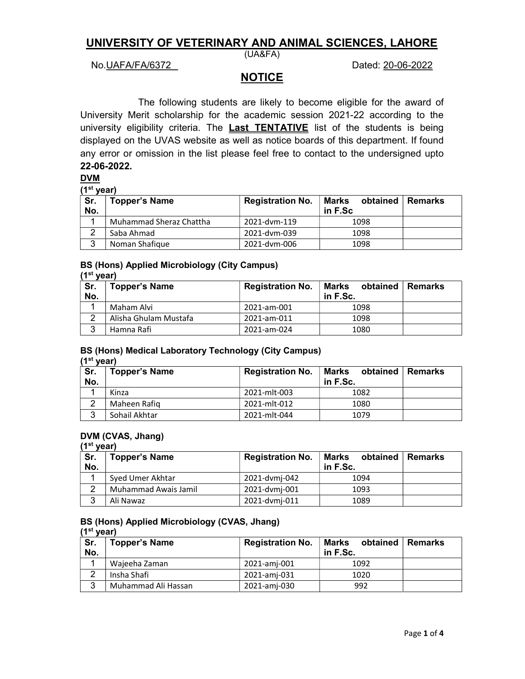# UNIVERSITY OF VETERINARY AND ANIMAL SCIENCES, LAHORE

### No.UAFA/FA/6372 Dated: 20-06-2022

(UA&FA)

# NOTICE

 The following students are likely to become eligible for the award of University Merit scholarship for the academic session 2021-22 according to the university eligibility criteria. The **Last TENTATIVE** list of the students is being displayed on the UVAS website as well as notice boards of this department. If found any error or omission in the list please feel free to contact to the undersigned upto 22-06-2022.

#### DVM

(1st year)

| Sr.<br>No. | <b>Topper's Name</b>    | <b>Registration No.</b> | Marks<br>obtained<br>in F.Sc | <b>Remarks</b> |
|------------|-------------------------|-------------------------|------------------------------|----------------|
|            | Muhammad Sheraz Chattha | 2021-dvm-119            | 1098                         |                |
| ົ          | Saba Ahmad              | 2021-dvm-039            | 1098                         |                |
| 3          | Noman Shafique          | 2021-dym-006            | 1098                         |                |

#### BS (Hons) Applied Microbiology (City Campus)

|            | (1 <sup>st</sup> vear) |                         |                               |         |  |
|------------|------------------------|-------------------------|-------------------------------|---------|--|
| Sr.<br>No. | <b>Topper's Name</b>   | <b>Registration No.</b> | Marks<br>obtained<br>in F.Sc. | Remarks |  |
|            | Maham Alvi             | 2021-am-001             | 1098                          |         |  |
| ົ          | Alisha Ghulam Mustafa  | 2021-am-011             | 1098                          |         |  |
| 3          | Hamna Rafi             | 2021-am-024             | 1080                          |         |  |

# BS (Hons) Medical Laboratory Technology (City Campus)

 $(1<sup>st</sup>$  year)

| Sr.<br>No. | <b>Topper's Name</b> | <b>Registration No.</b> | Marks<br>obtained<br>in F.Sc. | ∣ Remarks |
|------------|----------------------|-------------------------|-------------------------------|-----------|
|            | Kinza                | 2021-mlt-003            | 1082                          |           |
| ົ          | Maheen Rafiq         | 2021-mlt-012            | 1080                          |           |
| 3          | Sohail Akhtar        | 2021-mlt-044            | 1079                          |           |

## DVM (CVAS, Jhang)

 $(1<sup>st</sup> year)$ 

| Sr.<br>No. | <b>Topper's Name</b> | <b>Registration No.</b> | Marks<br>obtained<br>in F.Sc. | ∣ Remarks |
|------------|----------------------|-------------------------|-------------------------------|-----------|
|            | Syed Umer Akhtar     | 2021-dvmj-042           | 1094                          |           |
| റ          | Muhammad Awais Jamil | 2021-dvmj-001           | 1093                          |           |
| 3          | Ali Nawaz            | 2021-dvmj-011           | 1089                          |           |

#### BS (Hons) Applied Microbiology (CVAS, Jhang)  $(1<sup>st</sup>$  year)

| Sr.<br>No. | <b>Topper's Name</b> | <b>Registration No.</b> | Marks<br>obtained<br>in F.Sc. | Remarks |
|------------|----------------------|-------------------------|-------------------------------|---------|
|            | Wajeeha Zaman        | 2021-amj-001            | 1092                          |         |
| 2          | Insha Shafi          | 2021-amj-031            | 1020                          |         |
| ີ<br>J     | Muhammad Ali Hassan  | 2021-amj-030            | 992                           |         |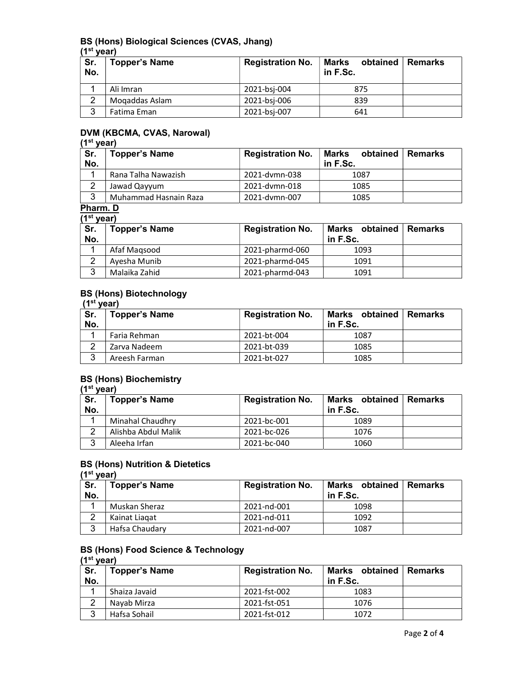#### BS (Hons) Biological Sciences (CVAS, Jhang)  $(1<sup>st</sup>$  year)

| Sr.<br>No.     | <b>Topper's Name</b> | <b>Registration No.</b> | obtained<br>Marks<br>in F.Sc. | <b>Remarks</b> |
|----------------|----------------------|-------------------------|-------------------------------|----------------|
|                | Ali Imran            | 2021-bsj-004            | 875                           |                |
| $\overline{2}$ | Mogaddas Aslam       | 2021-bsj-006            | 839                           |                |
| 3              | Fatima Eman          | 2021-bsj-007            | 641                           |                |

### DVM (KBCMA, CVAS, Narowal)

# (1<sup>st</sup> year)

| Sr.<br>No. | <b>Topper's Name</b>  | <b>Registration No.</b> | Marks<br>obtained   Remarks<br>in F.Sc. |  |
|------------|-----------------------|-------------------------|-----------------------------------------|--|
| и          | Rana Talha Nawazish   | 2021-dymn-038           | 1087                                    |  |
|            | Jawad Qayyum          | 2021-dymn-018           | 1085                                    |  |
| ્ર<br>J    | Muhammad Hasnain Raza | 2021-dymn-007           | 1085                                    |  |

## Pharm. D

|            | $(1st$ vear)         |                         |                            |                |  |
|------------|----------------------|-------------------------|----------------------------|----------------|--|
| Sr.<br>No. | <b>Topper's Name</b> | <b>Registration No.</b> | Marks obtained<br>in F.Sc. | <b>Remarks</b> |  |
|            |                      |                         |                            |                |  |
|            | Afaf Maqsood         | 2021-pharmd-060         | 1093                       |                |  |
| ົ          | Ayesha Munib         | 2021-pharmd-045         | 1091                       |                |  |
| 3          | Malaika Zahid        | 2021-pharmd-043         | 1091                       |                |  |

### BS (Hons) Biotechnology

| (1 <sup>st</sup> vear) |                      |                         |                               |         |
|------------------------|----------------------|-------------------------|-------------------------------|---------|
| Sr.<br>No.             | <b>Topper's Name</b> | <b>Registration No.</b> | Marks obtained<br>in $F.Sc$ . | Remarks |
|                        | Faria Rehman         | 2021-bt-004             | 1087                          |         |
|                        | Zarva Nadeem         | 2021-bt-039             | 1085                          |         |
| 3                      | Areesh Farman        | 2021-bt-027             | 1085                          |         |

### BS (Hons) Biochemistry

|            | $(1st$ vear)         |                         |                            |           |  |
|------------|----------------------|-------------------------|----------------------------|-----------|--|
| Sr.<br>No. | <b>Topper's Name</b> | <b>Registration No.</b> | Marks obtained<br>in F.Sc. | ∣ Remarks |  |
|            | Minahal Chaudhry     | 2021-bc-001             | 1089                       |           |  |
| ົ          | Alishba Abdul Malik  | 2021-bc-026             | 1076                       |           |  |
| 3          | Aleeha Irfan         | 2021-bc-040             | 1060                       |           |  |

### BS (Hons) Nutrition & Dietetics

|            | $(1st$ vear)         |                         |                            |                |  |
|------------|----------------------|-------------------------|----------------------------|----------------|--|
| Sr.<br>No. | <b>Topper's Name</b> | <b>Registration No.</b> | Marks obtained<br>in F.Sc. | <b>Remarks</b> |  |
|            | Muskan Sheraz        | 2021-nd-001             | 1098                       |                |  |
| ົ          | Kainat Liagat        | 2021-nd-011             | 1092                       |                |  |
| 3          | Hafsa Chaudary       | 2021-nd-007             | 1087                       |                |  |

#### BS (Hons) Food Science & Technology  $(1<sup>st</sup>$  year)

| Sr.<br>No. | <b>Topper's Name</b> | <b>Registration No.</b> | Marks obtained<br>in F.Sc. | Remarks |
|------------|----------------------|-------------------------|----------------------------|---------|
|            | Shaiza Javaid        | 2021-fst-002            | 1083                       |         |
| ົ          | Navab Mirza          | 2021-fst-051            | 1076                       |         |
| 3          | Hafsa Sohail         | 2021-fst-012            | 1072                       |         |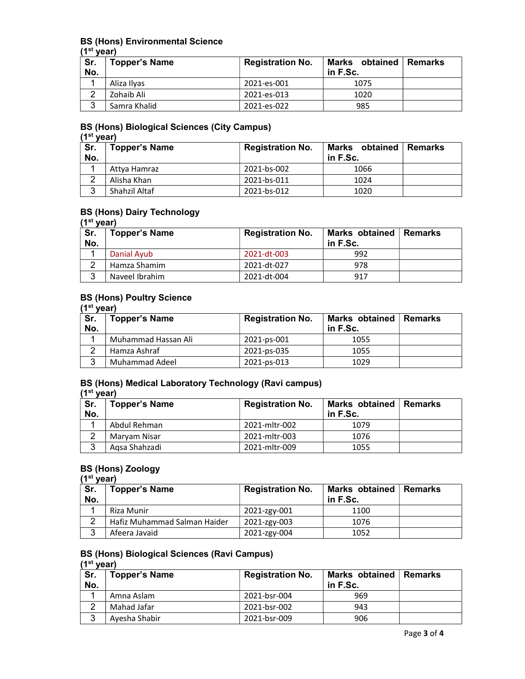### BS (Hons) Environmental Science

 $(1<sup>st</sup>$  year)

| Sr.<br>No. | <b>Topper's Name</b> | <b>Registration No.</b> | Marks obtained<br>in F.Sc. | <b>∣Remarks</b> |
|------------|----------------------|-------------------------|----------------------------|-----------------|
|            | Aliza Ilvas          | 2021-es-001             | 1075                       |                 |
| ົ          | Zohaib Ali           | 2021-es-013             | 1020                       |                 |
| ົ          | Samra Khalid         | 2021-es-022             | 985                        |                 |

#### BS (Hons) Biological Sciences (City Campus)

 $(1<sup>st</sup>$  year)

| Sr.<br>No. | <b>Topper's Name</b> | <b>Registration No.</b> | Marks obtained Remarks<br>in F.Sc. |  |
|------------|----------------------|-------------------------|------------------------------------|--|
|            | Attya Hamraz         | 2021-bs-002             | 1066                               |  |
| $\sim$     | Alisha Khan          | 2021-bs-011             | 1024                               |  |
| 3          | Shahzil Altaf        | 2021-bs-012             | 1020                               |  |

### BS (Hons) Dairy Technology

#### (1<sup>st</sup> year)

| Sr.<br>No. | <b>Topper's Name</b> | <b>Registration No.</b> | Marks obtained   Remarks<br>in F.Sc. |  |
|------------|----------------------|-------------------------|--------------------------------------|--|
|            | Danial Avub          | 2021-dt-003             | 992                                  |  |
| ⌒          | Hamza Shamim         | 2021-dt-027             | 978                                  |  |
| 3          | Naveel Ibrahim       | 2021-dt-004             | 917                                  |  |

### BS (Hons) Poultry Science

|  | (1 <sup>st</sup> year) |  |
|--|------------------------|--|
|--|------------------------|--|

| Sr.<br>No. | <b>Topper's Name</b> | <b>Registration No.</b> | Marks obtained   Remarks<br>in $F.Sc$ . |  |
|------------|----------------------|-------------------------|-----------------------------------------|--|
|            | Muhammad Hassan Ali  | 2021-ps-001             | 1055                                    |  |
| ີ          | Hamza Ashraf         | 2021-ps-035             | 1055                                    |  |
| ີ<br>J     | Muhammad Adeel       | 2021-ps-013             | 1029                                    |  |

#### BS (Hons) Medical Laboratory Technology (Ravi campus)  $(1<sup>st</sup>$  year)

| Sr.<br>No. | <b>Topper's Name</b> | <b>Registration No.</b> | Marks obtained<br>in $F.Sc$ . | l Remarks |
|------------|----------------------|-------------------------|-------------------------------|-----------|
|            | Abdul Rehman         | 2021-mltr-002           | 1079                          |           |
| ົ          | Maryam Nisar         | 2021-mltr-003           | 1076                          |           |
| 3          | Agsa Shahzadi        | 2021-mltr-009           | 1055                          |           |

# BS (Hons) Zoology

| $(1st$ vear) |                              |                         |                                      |  |  |
|--------------|------------------------------|-------------------------|--------------------------------------|--|--|
| Sr.<br>No.   | <b>Topper's Name</b>         | <b>Registration No.</b> | Marks obtained   Remarks<br>in F.Sc. |  |  |
|              | Riza Munir                   | 2021-zgy-001            | 1100                                 |  |  |
| റ            | Hafiz Muhammad Salman Haider | 2021-zgy-003            | 1076                                 |  |  |
| 3            | Afeera Javaid                | 2021-zgy-004            | 1052                                 |  |  |

### BS (Hons) Biological Sciences (Ravi Campus)

#### (1<sup>st</sup> year)

| Sr.<br>No. | <b>Topper's Name</b> | <b>Registration No.</b> | Marks obtained   Remarks<br>in F.Sc. |  |
|------------|----------------------|-------------------------|--------------------------------------|--|
|            | Amna Aslam           | 2021-bsr-004            | 969                                  |  |
| $\sim$     | Mahad Jafar          | 2021-bsr-002            | 943                                  |  |
| 3          | Avesha Shabir        | 2021-bsr-009            | 906                                  |  |